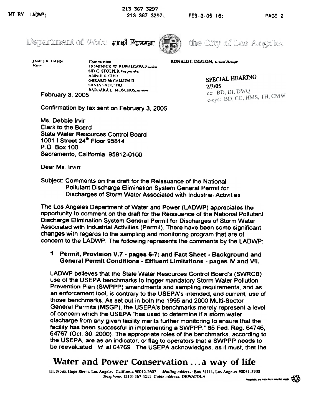



the City of Los Amgeles

JAMES K. HAHN .<br>Mayor

Commission IX)MINICK W. RUBALCAVA. Prandent SID C. STOLPER, Vice president ANNIE E. CHO **GERARD MCALLIM II** SHVIA SAUCEDO **BARBARA E. MOSCHOS, Secretary** 

February 3, 2005

Confirmation by fax sent on February 3, 2005

Ms. Debbie Irvin Clerk to the Board **State Water Resources Control Board** 1001 | Street 24<sup>th</sup> Floor 95814 P.O. Box 100 Sacramento, California 95812-0100

SPECIAL HEARING  $2/3/05$ 

RONALD F. DEATON. General Manager

cc: BD, DI, DWQ e-cys: BD, CC, HMS, TH, CMW

Dear Ms. Irvin:

Subject: Comments on the draft for the Reissuance of the National Pollutant Discharge Elimination System General Permit for Discharges of Storm Water Associated with Industrial Activities.

The Los Angeles Department of Water and Power (LADWP) appreciates the opportunity to comment on the draft for the Reissuance of the National Pollutant Discharge Elimination System General Permit for Discharges of Storm Water Associated with Industrial Activities (Permit). There have been some significant changes with regards to the sampling and monitoring program that are of concern to the LADWP. The following represents the comments by the LADWP:

## Permit, Frovision V.7 - pages 6-7; and Fact Sheet - Background and General Permit Conditions - Effluent Limitations - pages IV and VII.

LADWP believes that the State Water Resources Control Board's (SWRCB) use of the USEPA benchmarks to trigger mandatory Storm Water Pollution Prevention Plan (SWPPP) amendments and sampling requirements, and as an enforcement tool, is contrary to the USEPA's intended, and current, use of those benchmarks. As set out in both the 1995 and 2000 Multi-Sector General Permits (MSGP), the USEPA's benchmarks merely represent a level of concern which the USEPA "has used to determine if a storm water discharge from any given facility merits further monitoring to ensure that the facility has been successful in implementing a SWPPP." 65 Fed. Reg. 64746, 64767 (Oct. 30, 2000). The appropriate roles of the benchmarks, according to the USEPA, are as an indicator, or flag to operators that a SWPPP needs to be reevaluated. Id. at 64769. The USEPA acknowledges, as it must, that the

# Water and Power Conservation ... a way of life

111 North Hope Street, Los Angeles, California 90012-2607 Muiling address: Box 51111, Los Angeles 90051-5700 Telephone: (213) 367-4211 Cuble address: DEWAPOLA mine and made from 100 idaded v

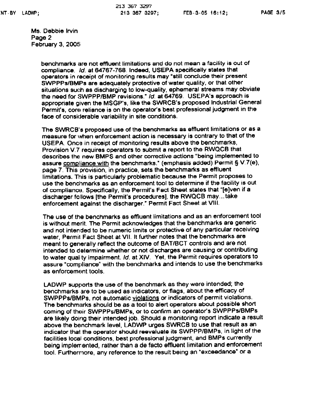Ms. Debbie Irvin Page 2 February 3, 2005

> benchmarks are not effluent limitations and do not mean a facility is out of compliance. Id. at 64767-768. Indeed, USEPA specifically states that operators in receipt of monitoring results may "still condude their present SWPPPs/BMPs are adequately protective of water quality, or that other situations such as discharging to low-quality, ephemeral streams may obviate the need for SWPPP/BMP revisions." Id. at 64769. USEPA's approach is appropriate given the MSGP's. like the SWRCB's proposed Industrial General Permit's, core reliance is on the operator's best professional judgment in the face of considerable variability in site conditions.

> The SWRCB's proposed use of the benchmarks as effluent limitations or as a measure for when enforcement action is necessary is contrary to that of the USEPA. Once in receipt of monitoring results above the benchmarks,<br>Provision V.7 requires operators to submit a report to the RWQCB that describes the new BMPS and other corrective actions "being implemented to assure compliance with the benchmarks." (emphasis added) Permit § V.7(e), page 7. This provision, in practice, sets the benchmarks as effluent limitations. This is particularly problematic because the Permit proposes to use the benchmarks as an enforcement tool to determine if the facility is out of compliance. Specifically, the Permit's Fact Sheet states that "[e]ven if a discharger follows [the Permit's procedures], the RWQCB may...take enforcement against the discharger." Permit Fact Sheet at VIII.

The use of the benchmarks as effluent limitations and as an enforcement tool is without merit. The Permit acknowledges that the benchmarks are generic and not intended to be numeric limits or protective of any particular receiving water, Permit Fact Sheet at VII. It further notes that the benchmarks are meant to generally reflect the outcome of BAT/BCT controls and are not intended to determine whether or not discharges are causing or contributing<br>to water quality impairment. Id. at XIV. Yet, the Permit requires operators to assure "compliance" with the benchmarks and intends to use the benchmarks as enforcement tools.

LADWP supports the use of the benchmark as they were intended; the benchmarks are to be used as indicators, or flags, about the efficacy of SWPPPS/BMPs, not automatic violations or indicators of permit violations. The benchmarks should be as a tool to alert operators about possible short coming of their SWPPPs/BMPs, or to confirm an operator's SWPPPs/BMPs are likely doing their intended job. Should a monitoring report indicate a result above the benchmark level, LADWP urges SWRCB to use that result as an indicator that the operator should reevaluate its SWPPP/BMPs, in light of the facilities local conditions, best professional judgment, and BMPs currently being implemented, rather than a de facto effluent limitation and enforcement tool. Furthermore, any reference to the result being an "exceedance" or a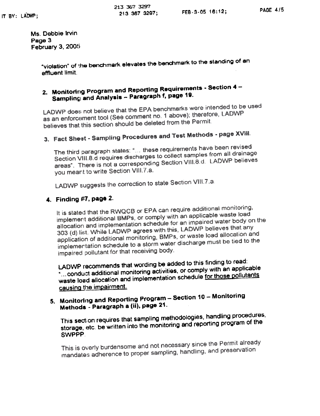Ms. Debbie Irvin Page 3 **February 3, 2005** 

> "violation" of the benchmark elevates the benchmark to the standing of an effluent limit.

## 2. Monitoring Program and Reporting Requirements - Section 4 -Sampling and Analysis - Paragraph f, page 19.

LADWP does not believe that the EPA benchmarks were intended to be used as an enforcement tool (See comment no. 1 above); therefore, LADWP believes that this section should be deleted from the Permit.

# 3. Fact Sheet - Sampling Procedures and Test Methods - page XVIII.

The third paragraph states: "... these requirements have been revised Section VIII.8 d requires discharges to collect samples from all drainage areas". There is not a corresponding Section VIII.8.d. LADWP believes you meant to write Section VIII.7.a.

LADWP suggests the correction to state Section VIII.7.a.

## 4. Finding #7, page 2.

It is stated that the RWQCB or EPA can require additional monitoring, implement additional BMPs, or comply with an applicable waste load allocation and implementation schedule for an impaired water body on the 303 (d) list. While LADWP agrees with this, LADWP believes that any application of additional monitoring, BMPs, or waste load allocation and implementation schedule to a storm water discharge must be tied to the impaired pollutant for that receiving body.

LADWP recommends that wording be added to this finding to read: "...conduct additional monitoring activities, or comply with an applicable waste load allocation and implementation schedule for those pollutants causing the impairment.

# 5. Monitoring and Reporting Program - Section 10 - Monitoring Methods - Paragraph a (ii), page 21.

This section requires that sampling methodologies, handling procedures, storage, etc. be written into the monitoring and reporting program of the SWPPP.

This is overly burdensome and not necessary since the Permit already mandates adherence to proper sampling, handling, and preservation